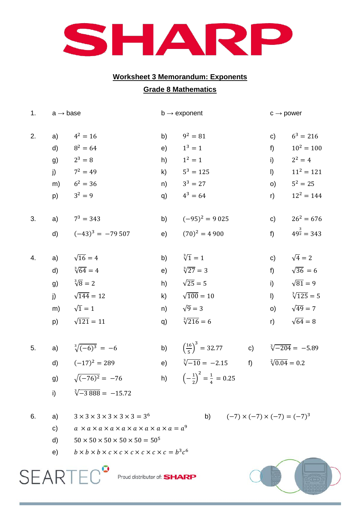

## **Worksheet 3 Memorandum: Exponents**

## **Grade 8 Mathematics**

| 1. |              | $a \rightarrow b$ ase                                                                                   |     | $b \rightarrow$ exponent                                          |    | $c \rightarrow power$ |                          |
|----|--------------|---------------------------------------------------------------------------------------------------------|-----|-------------------------------------------------------------------|----|-----------------------|--------------------------|
|    |              |                                                                                                         |     |                                                                   |    |                       |                          |
| 2. | a)           | $4^2 = 16$                                                                                              | b)  | $9^2 = 81$                                                        |    | c)                    | $6^3 = 216$              |
|    | $\mathsf{d}$ | $8^2 = 64$                                                                                              | e)  | $1^3 = 1$                                                         |    | f)                    | $10^2 = 100$             |
|    | g)           | $2^3 = 8$                                                                                               | h)  | $1^2 = 1$                                                         |    | i)                    | $2^2 = 4$                |
|    | j)           | $7^2 = 49$                                                                                              | k)  | $5^3 = 125$                                                       |    | $\vert$ )             | $11^2 = 121$             |
|    | m)           | $6^2 = 36$                                                                                              | n)  | $3^3 = 27$                                                        |    | O                     | $5^2 = 25$               |
|    | p)           | $3^2 = 9$                                                                                               | q)  | $4^3 = 64$                                                        |    | r)                    | $12^2 = 144$             |
| 3. | a)           | $7^3 = 343$                                                                                             | b)  | $(-95)^2 = 9025$                                                  |    | $\mathsf{C}$ )        | $26^2 = 676$             |
|    |              | d) $(-43)^3 = -79507$                                                                                   | e)  | $(70)^2 = 4900$                                                   |    | $f$ )                 | $49^{\frac{3}{2}} = 343$ |
|    |              |                                                                                                         |     |                                                                   |    |                       |                          |
| 4. | a)           | $\sqrt{16} = 4$                                                                                         | b)  | $\sqrt[3]{1} = 1$                                                 |    | c)                    | $\sqrt{4} = 2$           |
|    | d)           | $\sqrt[3]{64} = 4$                                                                                      | (e) | $\sqrt[3]{27} = 3$                                                |    | $f$ )                 | $\sqrt{36}$ = 6          |
|    | g)           | $\sqrt[3]{8} = 2$                                                                                       | h)  | $\sqrt{25} = 5$                                                   |    | i)                    | $\sqrt{81} = 9$          |
|    |              | j) $\sqrt{144} = 12$                                                                                    | k)  | $\sqrt{100} = 10$                                                 |    | $\vert$               | $\sqrt[3]{125} = 5$      |
|    | m)           | $\sqrt{1} = 1$                                                                                          | n)  | $\sqrt{9} = 3$                                                    |    | O                     | $\sqrt{49} = 7$          |
|    | p)           | $\sqrt{121} = 11$                                                                                       | q)  | $\sqrt[3]{216} = 6$                                               |    | r)                    | $\sqrt{64} = 8$          |
| 5. | a)           | $\sqrt[3]{(-6)^3} = -6$                                                                                 | b)  | $\left(\frac{16}{5}\right)^3 = 32.77$ c) $\sqrt[3]{-204} = -5.89$ |    |                       |                          |
|    |              |                                                                                                         |     |                                                                   |    |                       |                          |
|    | d)           | $(-17)^2 = 289$                                                                                         | e)  | $\sqrt[3]{-10} = -2.15$                                           | f) |                       | $\sqrt[2]{0.04} = 0.2$   |
|    |              | g) $\sqrt{(-76)^2} = -76$                                                                               |     | h) $\left(-\frac{1}{2}\right)^2 = \frac{1}{4} = 0.25$             |    |                       |                          |
|    | i)           | $\sqrt[3]{-3888} = -15.72$                                                                              |     |                                                                   |    |                       |                          |
| 6. | a)           | $3 \times 3 \times 3 \times 3 \times 3 \times 3 = 3^6$<br>$(-7) \times (-7) \times (-7) = (-7)^3$<br>b) |     |                                                                   |    |                       |                          |
|    | C)           | $a \times a \times a \times a \times a \times a \times a \times a \times a = a^9$                       |     |                                                                   |    |                       |                          |
|    | d)           | $50 \times 50 \times 50 \times 50 \times 50 = 50^5$                                                     |     |                                                                   |    |                       |                          |
|    |              |                                                                                                         |     |                                                                   |    |                       |                          |



**SEARTEC<sup>°</sup>** 

Proud distributor of: SHARP

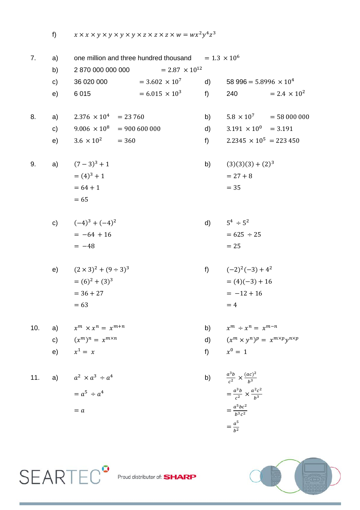$f)$  $x \times x \times y \times y \times y \times y \times z \times z \times z \times w = wx^2y^4z^3$ 

 $= 1.3 \times 10^{6}$  $7<sub>1</sub>$ one million and three hundred thousand  $a)$  $= 2.87 \times 10^{12}$ 2 870 000 000 000 b) 58 996 = 5.8996  $\times$  10<sup>4</sup>  $c)$ 36 020 000  $= 3.602 \times 10^{7}$ d)  $= 6.015 \times 10^{3}$ 6015  $f$ ) 240  $= 2.4 \times 10^{2}$  $e)$ 8.  $2.376 \times 10^4 = 23760$  $5.8 \times 10^7 = 58\,000\,000$  $a)$  $b)$  $3.191 \times 10^{0} = 3.191$  $9.006 \times 10^8 = 900\,600\,000$  $\mathsf{c})$ d)  $2.2345 \times 10^5 = 223450$  $3.6 \times 10^2 = 360$ e)  $f$ )  $(7-3)^3+1$  $a)$  $(3)(3)(3) + (2)<sup>3</sup>$ 9. b)  $=(4)^3+1$  $= 27 + 8$  $= 64 + 1$  $= 35$  $= 65$  $5^4 \div 5^2$  $(-4)^3 + (-4)^2$  $\mathsf{C}$ )  $d)$  $= -64 + 16$  $= 625 \div 25$  $= -48$  $= 25$  $(2 \times 3)^2 + (9 \div 3)^3$  $(-2)^{2}(-3) + 4^{2}$  $e)$  $f$ )  $=(6)^2 + (3)^3$  $= (4)(-3) + 16$  $= 36 + 27$  $= -12 + 16$  $= 63$  $= 4$  $x^m \times x^n = x^{m+n}$  $x^m \div x^n = x^{m-n}$  $10.$  $a)$  $b)$  $(x^m)^n = x^{m \times n}$  $(x^m \times y^n)^p = x^{m \times p} y^{n \times p}$  $\mathsf{C}$ ) d)  $x^1 = x$  $x^0 = 1$  $e)$  $f$ ) b)  $\frac{a^3b}{c^2} \times \frac{(ac)^2}{b^3}$ a)  $a^2 \times a^3 \div a^4$  $11.$  $=\frac{a^3b}{c^2} \times \frac{a^2c^2}{b^3}$  $= a^5 \div a^4$  $=\frac{a^5bc^2}{b^3c^2}$  $= a$  $=\frac{a^5}{h^2}$ 



Proud distributor of: **SHARP** 

**SEARTFC**<sup>9</sup>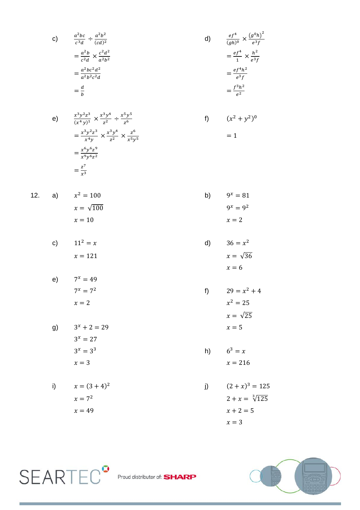c) 
$$
\frac{a^2bc}{c^3d} \div \frac{a^2b^2}{(cd)^2}
$$
  
\n
$$
= \frac{a^2b}{c^2d} \times \frac{c^2d^2}{a^2b^2}
$$
  
\n
$$
= \frac{a^2bc^2d^2}{a^2b^2c^2d}
$$
  
\n
$$
= \frac{d}{b}
$$
  
\n
$$
= \frac{d}{b}
$$
  
\n
$$
= \frac{d}{b}
$$
  
\n
$$
= \frac{d}{b}
$$
  
\n
$$
= \frac{d}{b}
$$
  
\n
$$
= \frac{d}{b}
$$
  
\n
$$
= \frac{d}{b}a^2b^2c^2d
$$
  
\n
$$
= \frac{d}{b}a^2b^2
$$
  
\n
$$
= \frac{d}{b}a^2b^2
$$
  
\n
$$
= \frac{d}{b}a^2b^2
$$
  
\n
$$
= \frac{d}{b}a^2b^2
$$
  
\n
$$
= \frac{d}{b}a^2
$$
  
\n
$$
= \frac{d}{b}a^2
$$
  
\n
$$
= \frac{d}{b}a^2
$$
  
\n
$$
= \frac{d}{b}a^2
$$
  
\n
$$
= \frac{d}{b}a^2
$$
  
\n
$$
= \frac{d}{b}a^2
$$
  
\n
$$
= \frac{d}{b}a^2
$$
  
\n
$$
= \frac{d}{b}a^2
$$
  
\n
$$
= \frac{d}{b}a^2
$$
  
\n
$$
= \frac{d}{b}a^2
$$
  
\n
$$
= \frac{d}{b}a^2
$$
  
\n
$$
= \frac{d}{b}a^2
$$
  
\n
$$
= \frac{d}{b}a^2
$$
  
\n
$$
= \frac{d}{b}a^2
$$
  
\n
$$
= \frac{d}{b}a^2
$$
  
\n
$$
= \frac{d}{b}a^2
$$
  
\n
$$
= \frac{d}{b}a^2
$$
  
\n<math display="</p>

e) 
$$
\frac{x^3y^2z^3}{(x^4y)^1} \times \frac{x^3y^4}{z^2} \div \frac{x^5y^5}{z^6}
$$
  
\n
$$
= \frac{x^3y^2z^3}{x^4y} \times \frac{x^3y^4}{z^2} \times \frac{z^6}{x^5y^5}
$$
  
\n
$$
= \frac{x^6y^6z^9}{x^9y^6z^2}
$$
  
\n
$$
= \frac{z^7}{x^3}
$$
  
\nf) 
$$
(x^2 + y^2)^0
$$
  
\n
$$
= 1
$$

12. **a)** 
$$
x^2 = 100
$$
  
\n $x = \sqrt{100}$   
\n $x = 10$   
\n**b)**  $9^x = 81$   
\n $9^x = 9^2$   
\n $x = 2$ 

c) 
$$
11^2 = x
$$
  
\n $x = 121$   
\nd)  $36 = x^2$   
\n $x = \sqrt{36}$ 

e) 
$$
7^x = 49
$$

$$
7^x = 7^2
$$

$$
x = 2
$$

g) 
$$
3^{x} + 2 = 29
$$

$$
3^{x} = 27
$$

$$
3^{x} = 3^{3}
$$

$$
x = 3
$$

$$
x = (3+4)2
$$
  
\n
$$
x = 72
$$
  
\n
$$
x = 49
$$

$$
\frac{ef^4}{(gh)^0} \times \frac{(g^0h)^2}{e^3f}
$$

$$
= \frac{ef^4}{1} \times \frac{h^2}{e^3f}
$$

$$
= \frac{ef^4h^2}{e^3f}
$$

$$
f^3h^2
$$

$$
f) \qquad (x^2 + y^2)^0
$$

$$
= 1
$$

$$
x = 2
$$

$$
36 = x^2
$$

$$
x = \sqrt{3}\ell
$$

$$
x = 6
$$

f) 
$$
29 = x^2 + 4
$$

$$
x^2 = 25
$$

$$
x = \sqrt{25}
$$

$$
x = 5
$$

h) 
$$
6^3 = x
$$

$$
x = 216
$$

j) 
$$
(2 + x)3 = 125
$$

$$
2 + x = \sqrt[3]{125}
$$

$$
x + 2 = 5
$$

$$
x = 3
$$



SEARTEC<sup>9</sup> Proud distributor of: SHARP